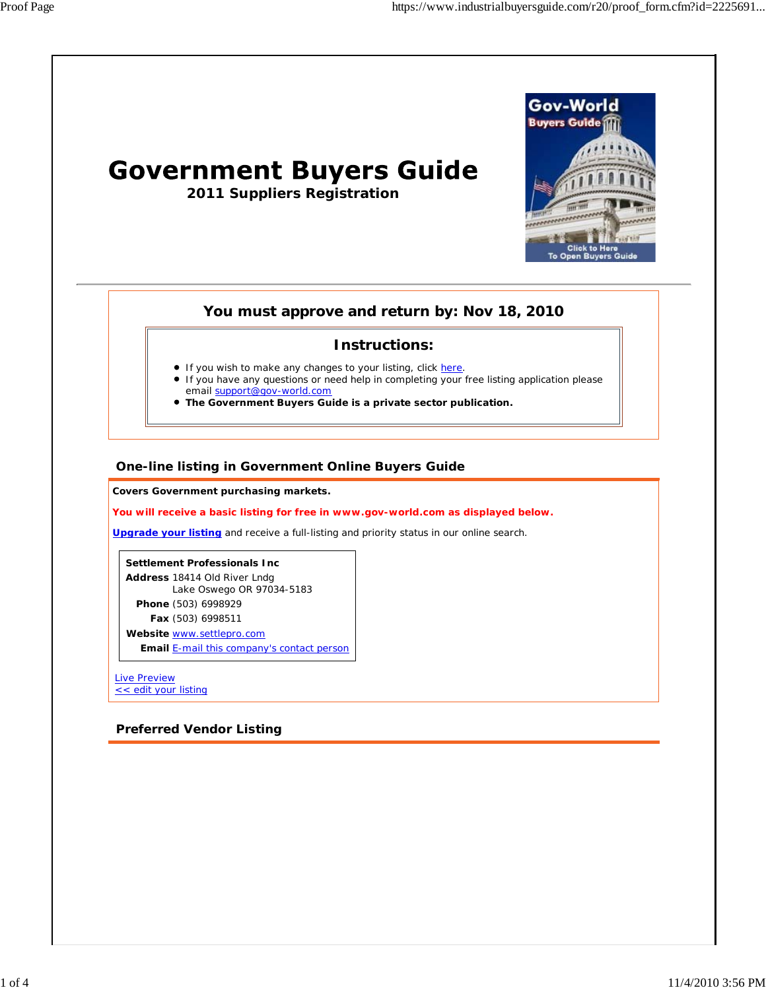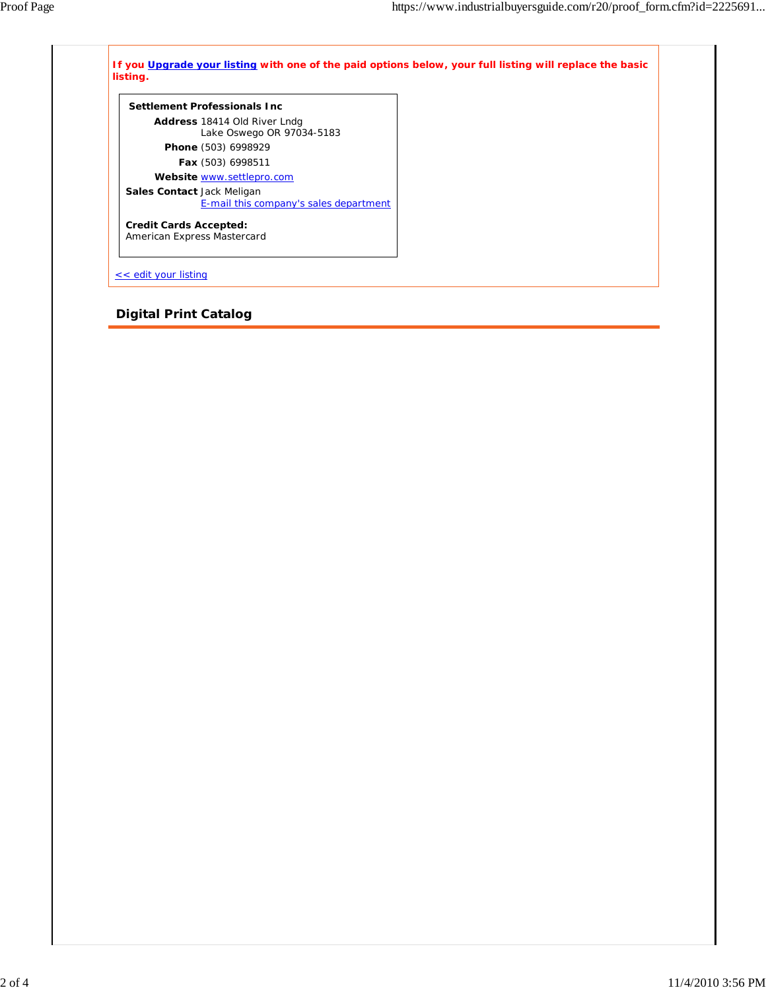| Settlement Professionals Inc.          |  |
|----------------------------------------|--|
| <b>Address</b> 18414 Old River Lndg    |  |
| Lake Oswego OR 97034-5183              |  |
| Phone (503) 6998929                    |  |
| Fax (503) 6998511                      |  |
| Website www.settlepro.com              |  |
| <b>Sales Contact Jack Meligan</b>      |  |
| E-mail this company's sales department |  |
| <b>Credit Cards Accepted:</b>          |  |
| American Express Mastercard            |  |

## **Digital Print Catalog**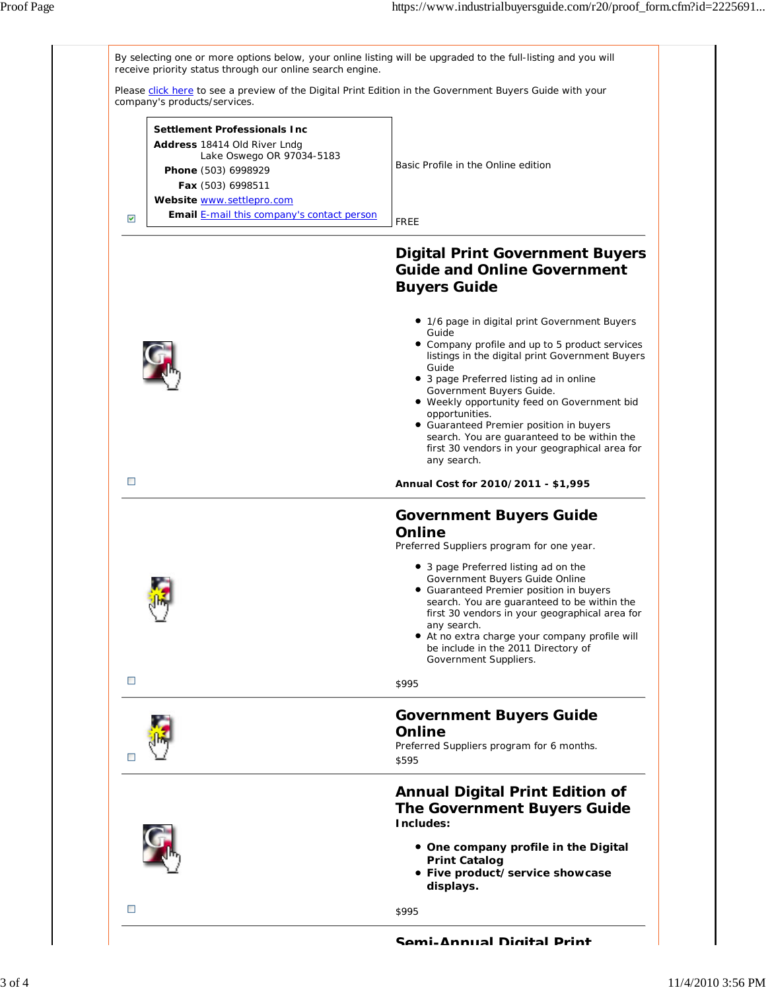